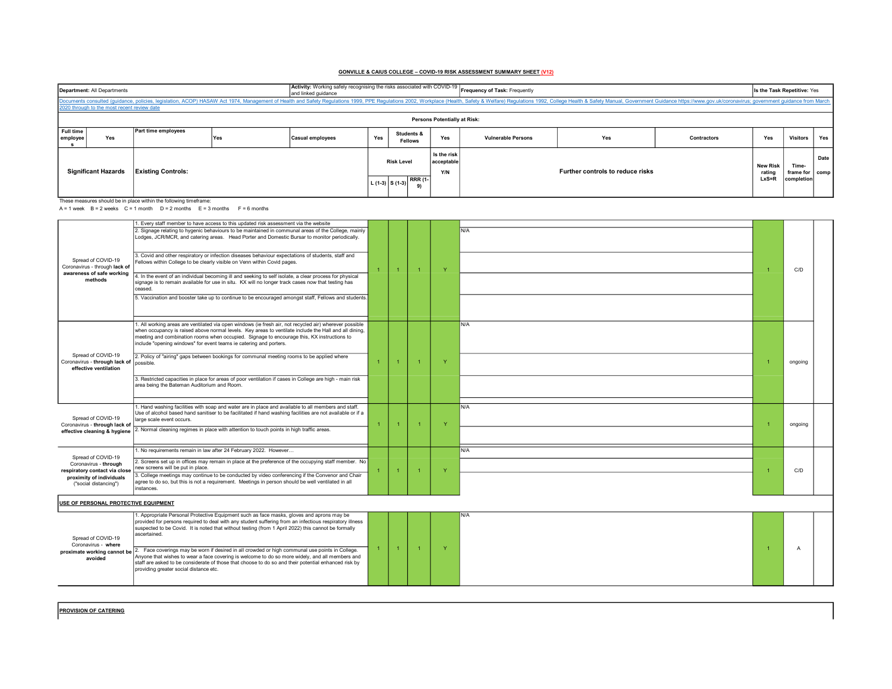## GONVILLE & CAIUS COLLEGE – COVID-19 RISK ASSESSMENT SUMMARY SHEET (V12)

| Department: All Departments<br>and linked guidance                                                                                                                                                                             |                                             |     |                         | Activity: Working safely recognising the risks associated with COVID-19 Frequency of Task: Frequently |                                  |     |                                  |     |                    |                         | Is the Task Repetitive: Yes |     |  |  |
|--------------------------------------------------------------------------------------------------------------------------------------------------------------------------------------------------------------------------------|---------------------------------------------|-----|-------------------------|-------------------------------------------------------------------------------------------------------|----------------------------------|-----|----------------------------------|-----|--------------------|-------------------------|-----------------------------|-----|--|--|
| Documents consulted (quidance, policies, legislation, ACOP) HASAW Act 1974, Management of Health and Safety Requiations 1999, PPE Regulations 2002, Workplace (Health, Safety & Welfare) Regulations 1992, College Health & Sa |                                             |     |                         |                                                                                                       |                                  |     |                                  |     |                    |                         |                             |     |  |  |
|                                                                                                                                                                                                                                | 2020 through to the most recent review date |     |                         |                                                                                                       |                                  |     |                                  |     |                    |                         |                             |     |  |  |
| <b>Persons Potentially at Risk:</b>                                                                                                                                                                                            |                                             |     |                         |                                                                                                       |                                  |     |                                  |     |                    |                         |                             |     |  |  |
| Full time<br>Yes<br>employee                                                                                                                                                                                                   | Part time employees                         | Yes | <b>Casual employees</b> | Yes                                                                                                   | Students &<br><b>Fellows</b>     | Yes | <b>Vulnerable Persons</b>        | Yes | <b>Contractors</b> | Yes                     | Visitors                    | Yes |  |  |
| <b>Existing Controls:</b><br><b>Significant Hazards</b>                                                                                                                                                                        |                                             |     | <b>Risk Level</b>       |                                                                                                       | Is the risk<br>acceptable<br>Y/N |     | Further controls to reduce risks |     |                    | Time-<br>frame for comp | Date                        |     |  |  |
| These measures should be in place within the following timeframe:                                                                                                                                                              |                                             |     |                         | <b>RRR (1-</b><br>L $(1-3)$ S $(1-3)$                                                                 |                                  |     |                                  |     |                    |                         | completion                  |     |  |  |

A = 1 week B = 2 weeks  $C = 1$  month  $D = 2$  months  $E = 3$  months  $F = 6$  months

| Spread of COVID-19<br>Coronavirus - through lack of<br>awareness of safe working<br>methods                                       | I. Every staff member to have access to this updated risk assessment via the website                                                                                                                                                                                                                                                                                                 |                |  |                |              |     |  |                |  |
|-----------------------------------------------------------------------------------------------------------------------------------|--------------------------------------------------------------------------------------------------------------------------------------------------------------------------------------------------------------------------------------------------------------------------------------------------------------------------------------------------------------------------------------|----------------|--|----------------|--------------|-----|--|----------------|--|
|                                                                                                                                   | 2. Signage relating to hygenic behaviours to be maintained in communal areas of the College, mainly<br>Lodges, JCR/MCR, and catering areas. Head Porter and Domestic Bursar to monitor periodically.                                                                                                                                                                                 |                |  |                |              | N/A |  |                |  |
|                                                                                                                                   | 3. Covid and other respiratory or infection diseases behaviour expectations of students, staff and<br>Fellows within College to be clearly visible on Venn within Covid pages.                                                                                                                                                                                                       | 1              |  |                | <b>Y</b>     |     |  | C/D            |  |
|                                                                                                                                   | 4. In the event of an individual becoming ill and seeking to self isolate, a clear process for physical<br>signage is to remain available for use in situ. KX will no longer track cases now that testing has<br>ceased.                                                                                                                                                             |                |  |                |              |     |  |                |  |
|                                                                                                                                   | 5. Vaccination and booster take up to continue to be encouraged amongst staff, Fellows and students.                                                                                                                                                                                                                                                                                 |                |  |                |              |     |  |                |  |
| Spread of COVID-19<br>Coronavirus - through lack of<br>effective ventilation                                                      | 1. All working areas are ventilated via open windows (ie fresh air, not recycled air) wherever possible<br>when occupancy is raised above normal levels. Key areas to ventilate include the Hall and all dining,<br>meeting and combination rooms when occupied. Signage to encourage this, KX instructions to<br>include "opening windows" for event teams ie catering and porters. |                |  |                |              | N/A |  |                |  |
|                                                                                                                                   | 2. Policy of "airing" gaps between bookings for communal meeting rooms to be applied where<br>possible.                                                                                                                                                                                                                                                                              | $\mathbf{1}$   |  | $\overline{1}$ | Y            |     |  | ongoing        |  |
|                                                                                                                                   | 3. Restricted capacities in place for areas of poor ventilation if cases in College are high - main risk<br>area being the Bateman Auditorium and Room.                                                                                                                                                                                                                              |                |  |                |              |     |  |                |  |
| Spread of COVID-19<br>Coronavirus - through lack of<br>effective cleaning & hygiene                                               | 1. Hand washing facilities with soap and water are in place and available to all members and staff.<br>Use of alcohol based hand sanitiser to be facilitated if hand washing facilities are not available or if a<br>large scale event occurs.                                                                                                                                       | $\overline{1}$ |  |                |              | N/A |  | ongoing        |  |
|                                                                                                                                   | 2. Normal cleaning regimes in place with attention to touch points in high traffic areas.                                                                                                                                                                                                                                                                                            |                |  |                |              |     |  |                |  |
| Spread of COVID-19<br>Coronavirus - through<br>respiratory contact via close<br>proximity of individuals<br>("social distancing") | 1. No requirements remain in law after 24 February 2022. However                                                                                                                                                                                                                                                                                                                     |                |  |                |              | N/A |  |                |  |
|                                                                                                                                   | 2. Screens set up in offices may remain in place at the preference of the occupying staff member. No<br>new screens will be put in place.                                                                                                                                                                                                                                            |                |  | $\overline{1}$ | $\mathbf{v}$ |     |  | C/D            |  |
|                                                                                                                                   | 3. College meetings may continue to be conducted by video conferencing if the Convenor and Chair<br>agree to do so, but this is not a requirement. Meetings in person should be well ventilated in all<br>instances.                                                                                                                                                                 |                |  |                |              |     |  |                |  |
| USE OF PERSONAL PROTECTIVE EQUIPMENT                                                                                              |                                                                                                                                                                                                                                                                                                                                                                                      |                |  |                |              |     |  |                |  |
| Spread of COVID-19<br>Coronavirus - where<br>proximate working cannot be<br>avoided                                               | 1. Appropriate Personal Protective Equipment such as face masks, gloves and aprons may be<br>provided for persons required to deal with any student suffering from an infectious respiratory illness<br>suspected to be Covid. It is noted that without testing (from 1 April 2022) this cannot be formally<br>ascertained.                                                          |                |  |                |              | N/A |  |                |  |
|                                                                                                                                   | 2. Face coverings may be worn if desired in all crowded or high communal use points in College.<br>Anyone that wishes to wear a face covering is welcome to do so more widely, and all members and<br>staff are asked to be considerate of those that choose to do so and their potential enhanced risk by<br>providing greater social distance etc.                                 | $\mathbf{1}$   |  |                | <b>Y</b>     |     |  | $\overline{A}$ |  |